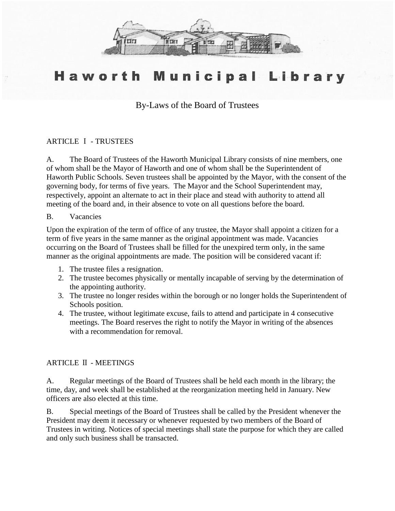

#### Municipal Library Haworth

By-Laws of the Board of Trustees

#### ARTICLE Ⅰ - TRUSTEES

A. The Board of Trustees of the Haworth Municipal Library consists of nine members, one of whom shall be the Mayor of Haworth and one of whom shall be the Superintendent of Haworth Public Schools. Seven trustees shall be appointed by the Mayor, with the consent of the governing body, for terms of five years. The Mayor and the School Superintendent may, respectively, appoint an alternate to act in their place and stead with authority to attend all meeting of the board and, in their absence to vote on all questions before the board.

#### B. Vacancies

Upon the expiration of the term of office of any trustee, the Mayor shall appoint a citizen for a term of five years in the same manner as the original appointment was made. Vacancies occurring on the Board of Trustees shall be filled for the unexpired term only, in the same manner as the original appointments are made. The position will be considered vacant if:

- 1. The trustee files a resignation.
- 2. The trustee becomes physically or mentally incapable of serving by the determination of the appointing authority.
- 3. The trustee no longer resides within the borough or no longer holds the Superintendent of Schools position.
- 4. The trustee, without legitimate excuse, fails to attend and participate in 4 consecutive meetings. The Board reserves the right to notify the Mayor in writing of the absences with a recommendation for removal.

## ARTICLE Ⅱ - MEETINGS

A. Regular meetings of the Board of Trustees shall be held each month in the library; the time, day, and week shall be established at the reorganization meeting held in January. New officers are also elected at this time.

B. Special meetings of the Board of Trustees shall be called by the President whenever the President may deem it necessary or whenever requested by two members of the Board of Trustees in writing. Notices of special meetings shall state the purpose for which they are called and only such business shall be transacted.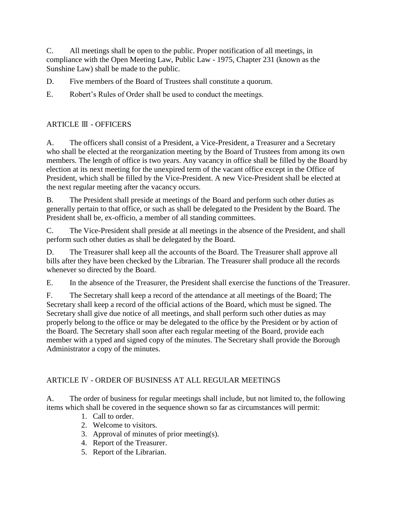C. All meetings shall be open to the public. Proper notification of all meetings, in compliance with the Open Meeting Law, Public Law - 1975, Chapter 231 (known as the Sunshine Law) shall be made to the public.

D. Five members of the Board of Trustees shall constitute a quorum.

E. Robert's Rules of Order shall be used to conduct the meetings.

# ARTICLE Ⅲ - OFFICERS

A. The officers shall consist of a President, a Vice-President, a Treasurer and a Secretary who shall be elected at the reorganization meeting by the Board of Trustees from among its own members. The length of office is two years. Any vacancy in office shall be filled by the Board by election at its next meeting for the unexpired term of the vacant office except in the Office of President, which shall be filled by the Vice-President. A new Vice-President shall be elected at the next regular meeting after the vacancy occurs.

B. The President shall preside at meetings of the Board and perform such other duties as generally pertain to that office, or such as shall be delegated to the President by the Board. The President shall be, ex-officio, a member of all standing committees.

C. The Vice-President shall preside at all meetings in the absence of the President, and shall perform such other duties as shall be delegated by the Board.

D. The Treasurer shall keep all the accounts of the Board. The Treasurer shall approve all bills after they have been checked by the Librarian. The Treasurer shall produce all the records whenever so directed by the Board.

E. In the absence of the Treasurer, the President shall exercise the functions of the Treasurer.

F. The Secretary shall keep a record of the attendance at all meetings of the Board; The Secretary shall keep a record of the official actions of the Board, which must be signed. The Secretary shall give due notice of all meetings, and shall perform such other duties as may properly belong to the office or may be delegated to the office by the President or by action of the Board. The Secretary shall soon after each regular meeting of the Board, provide each member with a typed and signed copy of the minutes. The Secretary shall provide the Borough Administrator a copy of the minutes.

# ARTICLE Ⅳ - ORDER OF BUSINESS AT ALL REGULAR MEETINGS

A. The order of business for regular meetings shall include, but not limited to, the following items which shall be covered in the sequence shown so far as circumstances will permit:

- 1. Call to order.
- 2. Welcome to visitors.
- 3. Approval of minutes of prior meeting(s).
- 4. Report of the Treasurer.
- 5. Report of the Librarian.